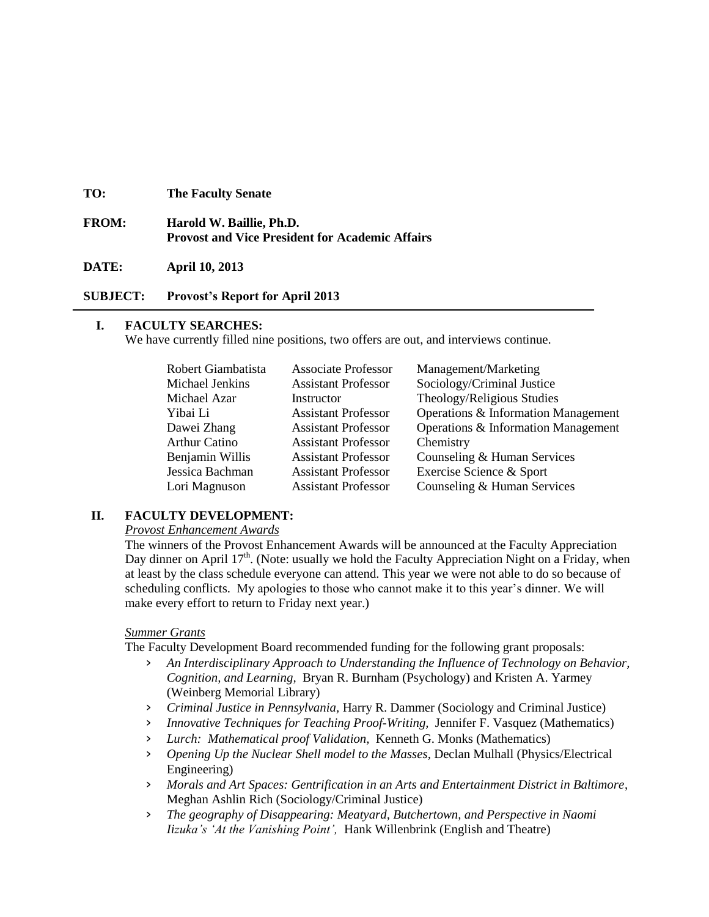| TO:          | <b>The Faculty Senate</b>                                                          |
|--------------|------------------------------------------------------------------------------------|
| <b>FROM:</b> | Harold W. Baillie, Ph.D.<br><b>Provost and Vice President for Academic Affairs</b> |

**DATE: April 10, 2013**

**SUBJECT: Provost's Report for April 2013**

### **I. FACULTY SEARCHES:**

We have currently filled nine positions, two offers are out, and interviews continue.

| Robert Giambatista   | <b>Associate Professor</b> | Management/Marketing                |
|----------------------|----------------------------|-------------------------------------|
| Michael Jenkins      | <b>Assistant Professor</b> | Sociology/Criminal Justice          |
| Michael Azar         | Instructor                 | Theology/Religious Studies          |
| Yibai Li             | <b>Assistant Professor</b> | Operations & Information Management |
| Dawei Zhang          | <b>Assistant Professor</b> | Operations & Information Management |
| <b>Arthur Catino</b> | <b>Assistant Professor</b> | Chemistry                           |
| Benjamin Willis      | <b>Assistant Professor</b> | Counseling & Human Services         |
| Jessica Bachman      | <b>Assistant Professor</b> | Exercise Science & Sport            |
| Lori Magnuson        | <b>Assistant Professor</b> | Counseling & Human Services         |

### **II. FACULTY DEVELOPMENT:**

#### *Provost Enhancement Awards*

The winners of the Provost Enhancement Awards will be announced at the Faculty Appreciation Day dinner on April  $17<sup>th</sup>$ . (Note: usually we hold the Faculty Appreciation Night on a Friday, when at least by the class schedule everyone can attend. This year we were not able to do so because of scheduling conflicts. My apologies to those who cannot make it to this year's dinner. We will make every effort to return to Friday next year.)

#### *Summer Grants*

The Faculty Development Board recommended funding for the following grant proposals:

- › *An Interdisciplinary Approach to Understanding the Influence of Technology on Behavior, Cognition, and Learning,* Bryan R. Burnham (Psychology) and Kristen A. Yarmey (Weinberg Memorial Library)
- › *Criminal Justice in Pennsylvania,* Harry R. Dammer (Sociology and Criminal Justice)
- › *Innovative Techniques for Teaching Proof-Writing,* Jennifer F. Vasquez (Mathematics)
- › *Lurch: Mathematical proof Validation,* Kenneth G. Monks (Mathematics)
- › *Opening Up the Nuclear Shell model to the Masses,* Declan Mulhall (Physics/Electrical Engineering)
- › *Morals and Art Spaces: Gentrification in an Arts and Entertainment District in Baltimore*, Meghan Ashlin Rich (Sociology/Criminal Justice)
- › *The geography of Disappearing: Meatyard, Butchertown, and Perspective in Naomi Iizuka's 'At the Vanishing Point',* Hank Willenbrink (English and Theatre)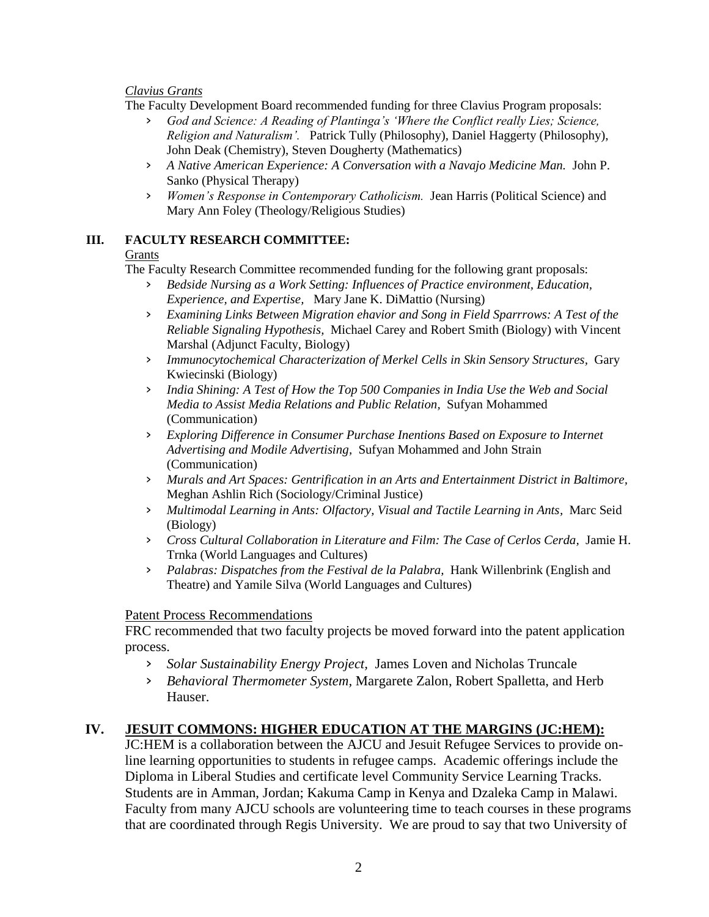### *Clavius Grants*

The Faculty Development Board recommended funding for three Clavius Program proposals:

- God and Science: A Reading of Plantinga's 'Where the Conflict really Lies; Science, *Religion and Naturalism'.* Patrick Tully (Philosophy), Daniel Haggerty (Philosophy), John Deak (Chemistry), Steven Dougherty (Mathematics)
- › *A Native American Experience: A Conversation with a Navajo Medicine Man.* John P. Sanko (Physical Therapy)
- › *Women's Response in Contemporary Catholicism.* Jean Harris (Political Science) and Mary Ann Foley (Theology/Religious Studies)

## **III. FACULTY RESEARCH COMMITTEE:**

## Grants

The Faculty Research Committee recommended funding for the following grant proposals:

- › *Bedside Nursing as a Work Setting: Influences of Practice environment, Education, Experience, and Expertise,* Mary Jane K. DiMattio (Nursing)
- › *Examining Links Between Migration ehavior and Song in Field Sparrrows: A Test of the Reliable Signaling Hypothesis,* Michael Carey and Robert Smith (Biology) with Vincent Marshal (Adjunct Faculty, Biology)
- › *Immunocytochemical Characterization of Merkel Cells in Skin Sensory Structures,* Gary Kwiecinski (Biology)
- › *India Shining: A Test of How the Top 500 Companies in India Use the Web and Social Media to Assist Media Relations and Public Relation,* Sufyan Mohammed (Communication)
- › *Exploring Difference in Consumer Purchase Inentions Based on Exposure to Internet Advertising and Modile Advertising,* Sufyan Mohammed and John Strain (Communication)
- › *Murals and Art Spaces: Gentrification in an Arts and Entertainment District in Baltimore,* Meghan Ashlin Rich (Sociology/Criminal Justice)
- › *Multimodal Learning in Ants: Olfactory, Visual and Tactile Learning in Ants,* Marc Seid (Biology)
- › *Cross Cultural Collaboration in Literature and Film: The Case of Cerlos Cerda,* Jamie H. Trnka (World Languages and Cultures)
- › *Palabras: Dispatches from the Festival de la Palabra,* Hank Willenbrink (English and Theatre) and Yamile Silva (World Languages and Cultures)

# Patent Process Recommendations

FRC recommended that two faculty projects be moved forward into the patent application process.

- › *Solar Sustainability Energy Project,* James Loven and Nicholas Truncale
- › *Behavioral Thermometer System,* Margarete Zalon, Robert Spalletta, and Herb Hauser.

# **IV. JESUIT COMMONS: HIGHER EDUCATION AT THE MARGINS (JC:HEM):**

JC:HEM is a collaboration between the AJCU and Jesuit Refugee Services to provide online learning opportunities to students in refugee camps. Academic offerings include the Diploma in Liberal Studies and certificate level Community Service Learning Tracks. Students are in Amman, Jordan; Kakuma Camp in Kenya and Dzaleka Camp in Malawi. Faculty from many AJCU schools are volunteering time to teach courses in these programs that are coordinated through Regis University. We are proud to say that two University of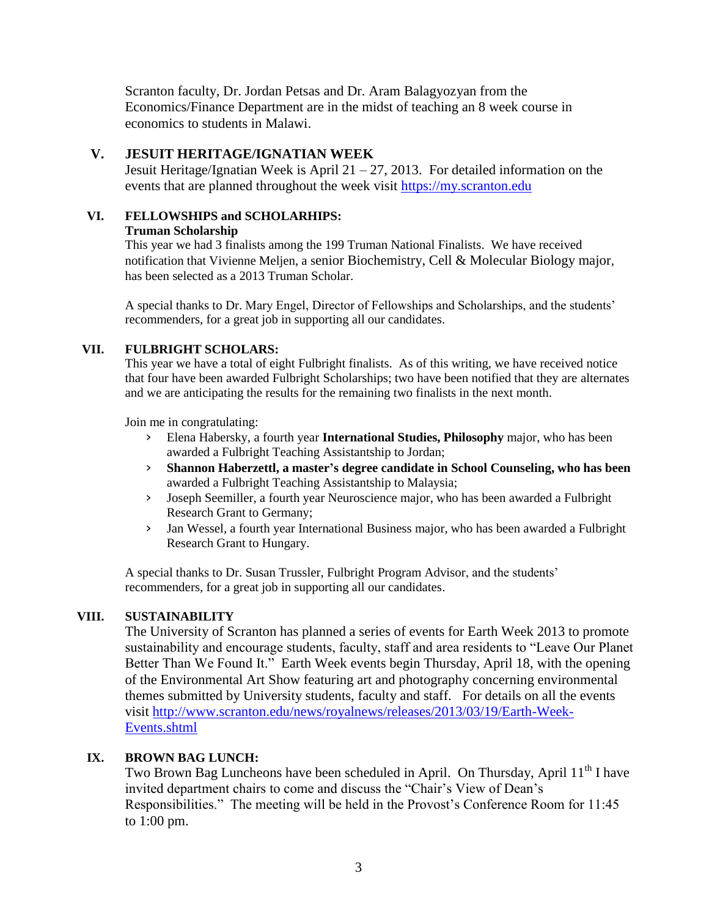Scranton faculty, Dr. Jordan Petsas and Dr. Aram Balagyozyan from the Economics/Finance Department are in the midst of teaching an 8 week course in economics to students in Malawi.

## **V. JESUIT HERITAGE/IGNATIAN WEEK**

Jesuit Heritage/Ignatian Week is April  $21 - 27$ , 2013. For detailed information on the events that are planned throughout the week visit [https://my.scranton.edu](https://my.scranton.edu/)

## **VI. FELLOWSHIPS and SCHOLARHIPS:**

### **Truman Scholarship**

This year we had 3 finalists among the 199 Truman National Finalists. We have received notification that Vivienne Meljen, a senior Biochemistry, Cell & Molecular Biology major, has been selected as a 2013 Truman Scholar.

A special thanks to Dr. Mary Engel, Director of Fellowships and Scholarships, and the students' recommenders, for a great job in supporting all our candidates.

## **VII. FULBRIGHT SCHOLARS:**

This year we have a total of eight Fulbright finalists. As of this writing, we have received notice that four have been awarded Fulbright Scholarships; two have been notified that they are alternates and we are anticipating the results for the remaining two finalists in the next month.

Join me in congratulating:

- › Elena Habersky, a fourth year **International Studies, Philosophy** major, who has been awarded a Fulbright Teaching Assistantship to Jordan;
- › **Shannon Haberzettl, a master's degree candidate in School Counseling, who has been** awarded a Fulbright Teaching Assistantship to Malaysia;
- › Joseph Seemiller, a fourth year Neuroscience major, who has been awarded a Fulbright Research Grant to Germany;
- › Jan Wessel, a fourth year International Business major, who has been awarded a Fulbright Research Grant to Hungary.

A special thanks to Dr. Susan Trussler, Fulbright Program Advisor, and the students' recommenders, for a great job in supporting all our candidates.

# **VIII. SUSTAINABILITY**

The University of Scranton has planned a series of events for Earth Week 2013 to promote sustainability and encourage students, faculty, staff and area residents to "Leave Our Planet Better Than We Found It." Earth Week events begin Thursday, April 18, with the opening of the Environmental Art Show featuring art and photography concerning environmental themes submitted by University students, faculty and staff. For details on all the events visit [http://www.scranton.edu/news/royalnews/releases/2013/03/19/Earth-Week-](http://www.scranton.edu/news/royalnews/releases/2013/03/19/Earth-Week-Events.shtml)[Events.shtml](http://www.scranton.edu/news/royalnews/releases/2013/03/19/Earth-Week-Events.shtml)

# **IX. BROWN BAG LUNCH:**

Two Brown Bag Luncheons have been scheduled in April. On Thursday, April 11<sup>th</sup> I have invited department chairs to come and discuss the "Chair's View of Dean's Responsibilities." The meeting will be held in the Provost's Conference Room for 11:45 to 1:00 pm.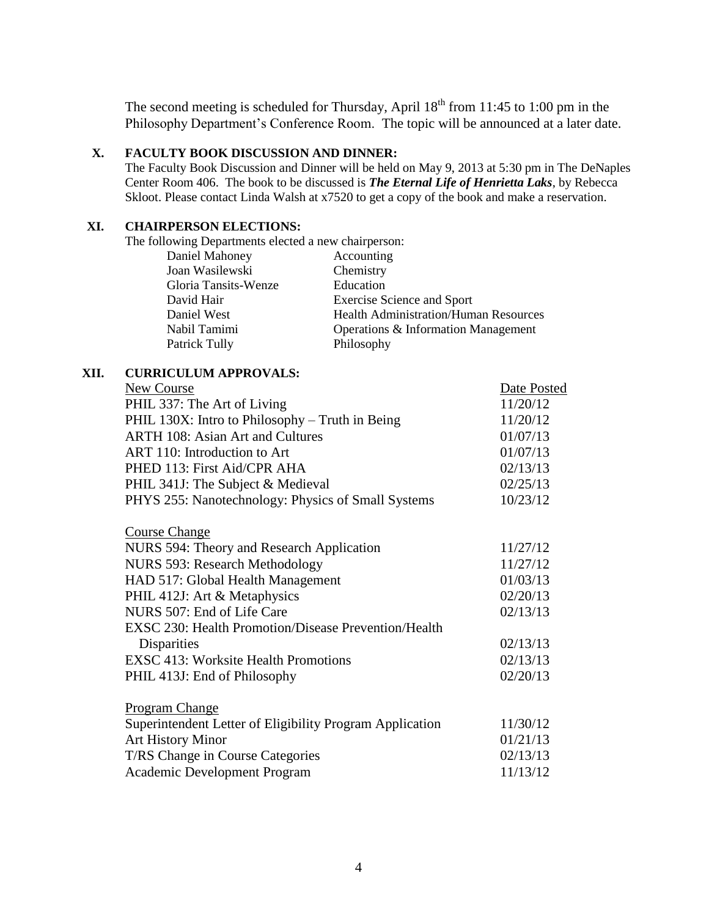The second meeting is scheduled for Thursday, April  $18<sup>th</sup>$  from 11:45 to 1:00 pm in the Philosophy Department's Conference Room. The topic will be announced at a later date.

### **X. FACULTY BOOK DISCUSSION AND DINNER:**

The Faculty Book Discussion and Dinner will be held on May 9, 2013 at 5:30 pm in The DeNaples Center Room 406. The book to be discussed is *The Eternal Life of Henrietta Laks*, by Rebecca Skloot. Please contact Linda Walsh at x7520 to get a copy of the book and make a reservation.

### **XI. CHAIRPERSON ELECTIONS:**

The following Departments elected a new chairperson:

| Daniel Mahoney       | Accounting                                   |
|----------------------|----------------------------------------------|
| Joan Wasilewski      | Chemistry                                    |
| Gloria Tansits-Wenze | Education                                    |
| David Hair           | <b>Exercise Science and Sport</b>            |
| Daniel West          | <b>Health Administration/Human Resources</b> |
| Nabil Tamimi         | Operations & Information Management          |
| Patrick Tully        | Philosophy                                   |
|                      |                                              |

### **XII. CURRICULUM APPROVALS:**

| New Course                                                  | Date Posted |
|-------------------------------------------------------------|-------------|
| PHIL 337: The Art of Living                                 | 11/20/12    |
| PHIL 130X: Intro to Philosophy – Truth in Being             | 11/20/12    |
| <b>ARTH 108: Asian Art and Cultures</b>                     | 01/07/13    |
| ART 110: Introduction to Art                                | 01/07/13    |
| PHED 113: First Aid/CPR AHA                                 | 02/13/13    |
| PHIL 341J: The Subject & Medieval                           | 02/25/13    |
| PHYS 255: Nanotechnology: Physics of Small Systems          | 10/23/12    |
|                                                             |             |
| <b>Course Change</b>                                        |             |
| NURS 594: Theory and Research Application                   | 11/27/12    |
| <b>NURS 593: Research Methodology</b>                       | 11/27/12    |
| HAD 517: Global Health Management                           | 01/03/13    |
| PHIL 412J: Art & Metaphysics                                | 02/20/13    |
| NURS 507: End of Life Care                                  | 02/13/13    |
| <b>EXSC 230: Health Promotion/Disease Prevention/Health</b> |             |
| Disparities                                                 | 02/13/13    |
| <b>EXSC 413: Worksite Health Promotions</b>                 | 02/13/13    |
| PHIL 413J: End of Philosophy                                | 02/20/13    |
| <b>Program Change</b>                                       |             |
| Superintendent Letter of Eligibility Program Application    | 11/30/12    |
|                                                             |             |
| <b>Art History Minor</b>                                    | 01/21/13    |
| T/RS Change in Course Categories                            | 02/13/13    |
| <b>Academic Development Program</b>                         | 11/13/12    |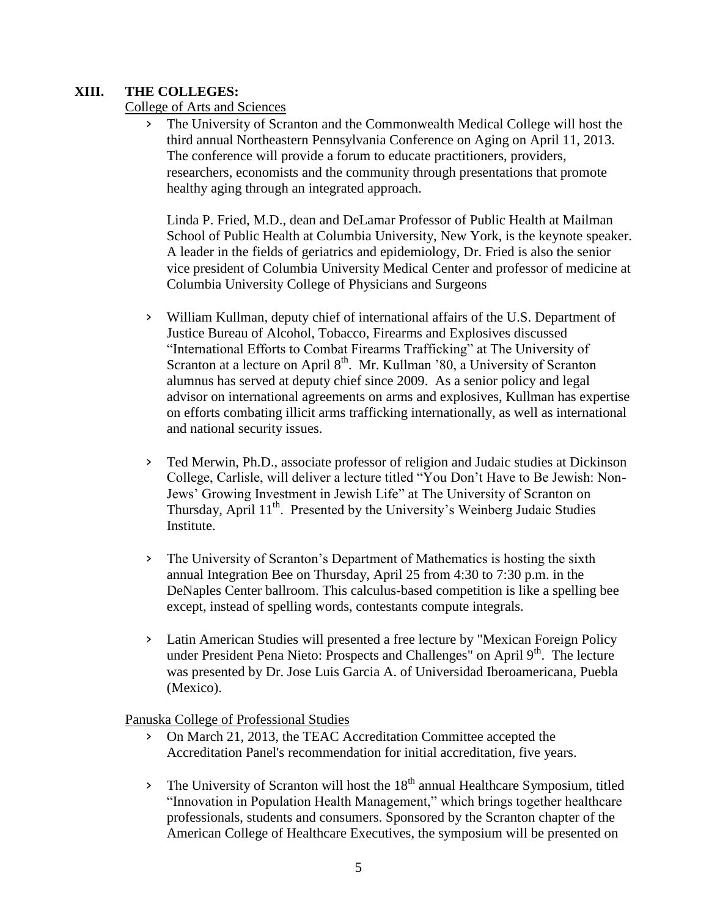# **XIII. THE COLLEGES:**

College of Arts and Sciences

› The University of Scranton and the Commonwealth Medical College will host the third annual Northeastern Pennsylvania Conference on Aging on April 11, 2013. The conference will provide a forum to educate practitioners, providers, researchers, economists and the community through presentations that promote healthy aging through an integrated approach.

Linda P. Fried, M.D., dean and DeLamar Professor of Public Health at Mailman School of Public Health at Columbia University, New York, is the keynote speaker. A leader in the fields of geriatrics and epidemiology, Dr. Fried is also the senior vice president of Columbia University Medical Center and professor of medicine at Columbia University College of Physicians and Surgeons

- › William Kullman, deputy chief of international affairs of the U.S. Department of Justice Bureau of Alcohol, Tobacco, Firearms and Explosives discussed "International Efforts to Combat Firearms Trafficking" at The University of Scranton at a lecture on April  $8<sup>th</sup>$ . Mr. Kullman '80, a University of Scranton alumnus has served at deputy chief since 2009. As a senior policy and legal advisor on international agreements on arms and explosives, Kullman has expertise on efforts combating illicit arms trafficking internationally, as well as international and national security issues.
- › Ted Merwin, Ph.D., associate professor of religion and Judaic studies at Dickinson College, Carlisle, will deliver a lecture titled "You Don't Have to Be Jewish: Non-Jews' Growing Investment in Jewish Life" at The University of Scranton on Thursday, April 11<sup>th</sup>. Presented by the University's Weinberg Judaic Studies Institute.
- › The University of Scranton's Department of Mathematics is hosting the sixth annual Integration Bee on Thursday, April 25 from 4:30 to 7:30 p.m. in the DeNaples Center ballroom. This calculus-based competition is like a spelling bee except, instead of spelling words, contestants compute integrals.
- › Latin American Studies will presented a free lecture by "Mexican Foreign Policy under President Pena Nieto: Prospects and Challenges" on April 9<sup>th</sup>. The lecture was presented by Dr. Jose Luis Garcia A. of Universidad Iberoamericana, Puebla (Mexico).

Panuska College of Professional Studies

- › On March 21, 2013, the TEAC Accreditation Committee accepted the Accreditation Panel's recommendation for initial accreditation, five years.
- $\frac{1}{2}$  The University of Scranton will host the 18<sup>th</sup> annual Healthcare Symposium, titled "Innovation in Population Health Management," which brings together healthcare professionals, students and consumers. Sponsored by the Scranton chapter of the American College of Healthcare Executives, the symposium will be presented on